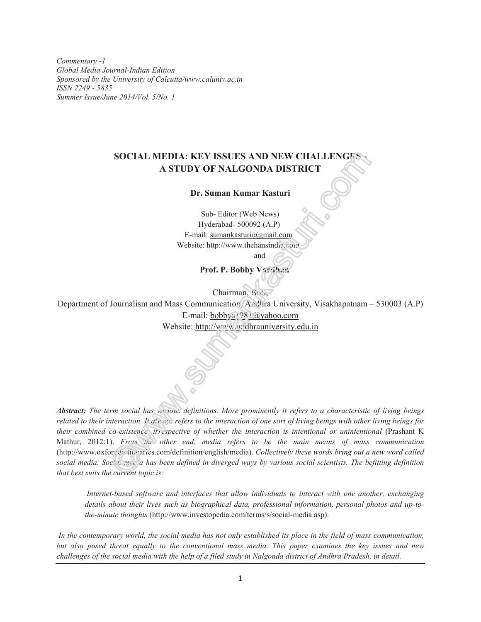*Commentary -1 Global Media Journal-Indian Edition Sponsored by the University of Calcutta/www.caluniv.ac.in ISSN 2249 - 5835 Summer Issue/June 2014/Vol. 5/No. 1*

# **SOCIAL MEDIA: KEY ISSUES AND NEW CHALLENGES - A STUDY OF NALGONDA DISTRICT**

**Dr. Suman Kumar Kasturi**

Sub- Editor (Web News) Hyderabad- 500092 (A.P) E-mail: sumankasturi@gmail.com Website: http://www.thehansindia.com

and

**Prof. P. Bobby Vardhan**

Chairman, BoS,

Department of Journalism and Mass Communication, Andhra University, Visakhapatnam – 530003 (A.P) E-mail: bobbys1981@yahoo.com Website: http://www.andhrauniversity.edu.in

*Abstract: The term social has various definitions. More prominently it refers to a characteristic of living beings related to their interaction. It always refers to the interaction of one sort of living beings with other living beings for their combined co-existence, irrespective of whether the interaction is intentional or unintentional* (Prashant K Mathur, 2012:1). *From the other end, media refers to be the main means of mass communication* (http://www.oxfordoictionaries.com/definition/english/media). Collectively these words bring out a new word called *social media. Social media has been defined in diverged ways by various social scientists. The befitting definition that best suits the current topic is:*

*Internet-based software and interfaces that allow individuals to interact with one another, exchanging details about their lives such as biographical data, professional information, personal photos and up-tothe-minute thoughts* (http://www.investopedia.com/terms/s/social-media.asp).

*In the contemporary world, the social media has not only established its place in the field of mass communication, but also posed threat equally to the conventional mass media. This paper examines the key issues and new challenges of the social media with the help of a filed study in Nalgonda district of Andhra Pradesh, in detail.*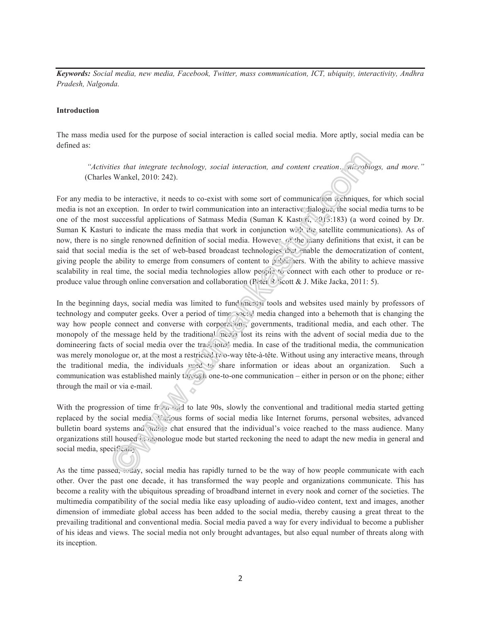*Keywords: Social media, new media, Facebook, Twitter, mass communication, ICT, ubiquity, interactivity, Andhra Pradesh, Nalgonda.*

#### **Introduction**

The mass media used for the purpose of social interaction is called social media. More aptly, social media can be defined as:

*"Activities that integrate technology, social interaction, and content creation…microblogs, and more."* (Charles Wankel, 2010: 242).

For any media to be interactive, it needs to co-exist with some sort of communication techniques, for which social media is not an exception. In order to twirl communication into an interactive dialogue, the social media turns to be one of the most successful applications of Satmass Media (Suman K Kasturi, 2013:183) (a word coined by Dr. Suman K Kasturi to indicate the mass media that work in conjunction with the satellite communications). As of now, there is no single renowned definition of social media. However, of the many definitions that exist, it can be said that social media is the set of web-based broadcast technologies that enable the democratization of content, giving people the ability to emerge from consumers of content to publishers. With the ability to achieve massive scalability in real time, the social media technologies allow people to connect with each other to produce or reproduce value through online conversation and collaboration (Peter R Scott & J. Mike Jacka, 2011: 5).

In the beginning days, social media was limited to fund mental tools and websites used mainly by professors of technology and computer geeks. Over a period of time, social media changed into a behemoth that is changing the way how people connect and converse with corporations, governments, traditional media, and each other. The monopoly of the message held by the traditional media lost its reins with the advent of social media due to the domineering facts of social media over the traditional media. In case of the traditional media, the communication was merely monologue or, at the most a restricted two-way tête-à-tête. Without using any interactive means, through the traditional media, the individuals used to share information or ideas about an organization. Such a communication was established mainly through one-to-one communication – either in person or on the phone; either through the mail or via e-mail.

With the progression of time from mid to late 90s, slowly the conventional and traditional media started getting replaced by the social media. Various forms of social media like Internet forums, personal websites, advanced bulletin board systems and online chat ensured that the individual's voice reached to the mass audience. Many organizations still housed in monologue mode but started reckoning the need to adapt the new media in general and social media, specifically.

As the time passed,  $\omega$  ay, social media has rapidly turned to be the way of how people communicate with each other. Over the past one decade, it has transformed the way people and organizations communicate. This has become a reality with the ubiquitous spreading of broadband internet in every nook and corner of the societies. The multimedia compatibility of the social media like easy uploading of audio-video content, text and images, another dimension of immediate global access has been added to the social media, thereby causing a great threat to the prevailing traditional and conventional media. Social media paved a way for every individual to become a publisher of his ideas and views. The social media not only brought advantages, but also equal number of threats along with its inception.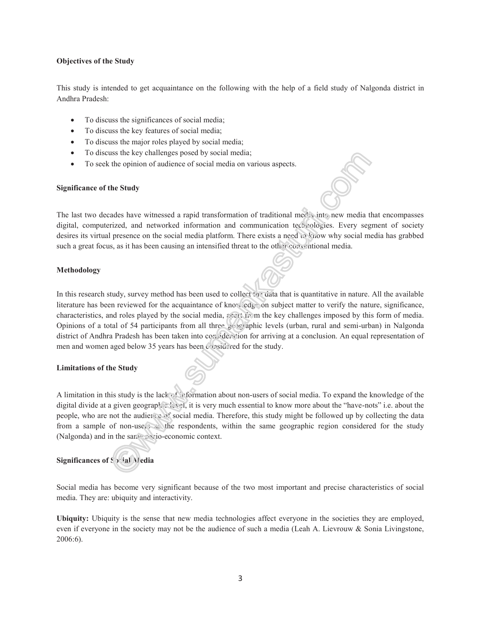### **Objectives of the Study**

This study is intended to get acquaintance on the following with the help of a field study of Nalgonda district in Andhra Pradesh:

- To discuss the significances of social media;
- To discuss the key features of social media;
- To discuss the major roles played by social media;
- To discuss the key challenges posed by social media;
- To seek the opinion of audience of social media on various aspects.

#### **Significance of the Study**

The last two decades have witnessed a rapid transformation of traditional media into new media that encompasses digital, computerized, and networked information and communication technologies. Every segment of society desires its virtual presence on the social media platform. There exists a need to know why social media has grabbed such a great focus, as it has been causing an intensified threat to the other conventional media.

### **Methodology**

In this research study, survey method has been used to collect the data that is quantitative in nature. All the available literature has been reviewed for the acquaintance of knowledge on subject matter to verify the nature, significance, characteristics, and roles played by the social media, acart from the key challenges imposed by this form of media. Opinions of a total of 54 participants from all three geographic levels (urban, rural and semi-urban) in Nalgonda district of Andhra Pradesh has been taken into consideration for arriving at a conclusion. An equal representation of men and women aged below 35 years has been considered for the study.

### **Limitations of the Study**

A limitation in this study is the lack of information about non-users of social media. To expand the knowledge of the digital divide at a given geographic level, it is very much essential to know more about the "have-nots" i.e. about the people, who are not the audience of social media. Therefore, this study might be followed up by collecting the data from a sample of non-users as the respondents, within the same geographic region considered for the study (Nalgonda) and in the same socio-economic context.

## **Significances of Social Media**

Social media has become very significant because of the two most important and precise characteristics of social media. They are: ubiquity and interactivity.

**Ubiquity:** Ubiquity is the sense that new media technologies affect everyone in the societies they are employed, even if everyone in the society may not be the audience of such a media (Leah A. Lievrouw & Sonia Livingstone, 2006:6).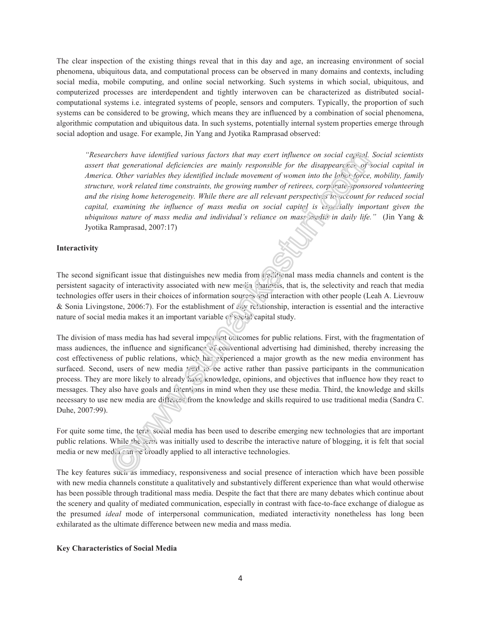The clear inspection of the existing things reveal that in this day and age, an increasing environment of social phenomena, ubiquitous data, and computational process can be observed in many domains and contexts, including social media, mobile computing, and online social networking. Such systems in which social, ubiquitous, and computerized processes are interdependent and tightly interwoven can be characterized as distributed socialcomputational systems i.e. integrated systems of people, sensors and computers. Typically, the proportion of such systems can be considered to be growing, which means they are influenced by a combination of social phenomena, algorithmic computation and ubiquitous data. In such systems, potentially internal system properties emerge through social adoption and usage. For example, Jin Yang and Jyotika Ramprasad observed:

*"Researchers have identified various factors that may exert influence on social capital. Social scientists assert that generational deficiencies are mainly responsible for the disappearance of social capital in America. Other variables they identified include movement of women into the labor force, mobility, family structure, work related time constraints, the growing number of retirees, corporate-sponsored volunteering and the rising home heterogeneity. While there are all relevant perspectives to account for reduced social capital, examining the influence of mass media on social capital is especially important given the ubiquitous nature of mass media and individual's reliance on mass media in daily life."* (Jin Yang & Jyotika Ramprasad, 2007:17)

### **Interactivity**

The second significant issue that distinguishes new media from traditional mass media channels and content is the persistent sagacity of interactivity associated with new media channels, that is, the selectivity and reach that media technologies offer users in their choices of information sources and interaction with other people (Leah A. Lievrouw & Sonia Livingstone, 2006:7). For the establishment of any relationship, interaction is essential and the interactive nature of social media makes it an important variable  $\epsilon$  social capital study.

The division of mass media has had several important outcomes for public relations. First, with the fragmentation of mass audiences, the influence and significance of conventional advertising had diminished, thereby increasing the cost effectiveness of public relations, which has experienced a major growth as the new media environment has surfaced. Second, users of new media tend to be active rather than passive participants in the communication process. They are more likely to already have knowledge, opinions, and objectives that influence how they react to messages. They also have goals and intentions in mind when they use these media. Third, the knowledge and skills necessary to use new media are different from the knowledge and skills required to use traditional media (Sandra C. Duhe, 2007:99).

For quite some time, the term social media has been used to describe emerging new technologies that are important public relations. While the term was initially used to describe the interactive nature of blogging, it is felt that social media or new media can be broadly applied to all interactive technologies.

The key features such as immediacy, responsiveness and social presence of interaction which have been possible with new media channels constitute a qualitatively and substantively different experience than what would otherwise has been possible through traditional mass media. Despite the fact that there are many debates which continue about the scenery and quality of mediated communication, especially in contrast with face-to-face exchange of dialogue as the presumed *ideal* mode of interpersonal communication, mediated interactivity nonetheless has long been exhilarated as the ultimate difference between new media and mass media.

### **Key Characteristics of Social Media**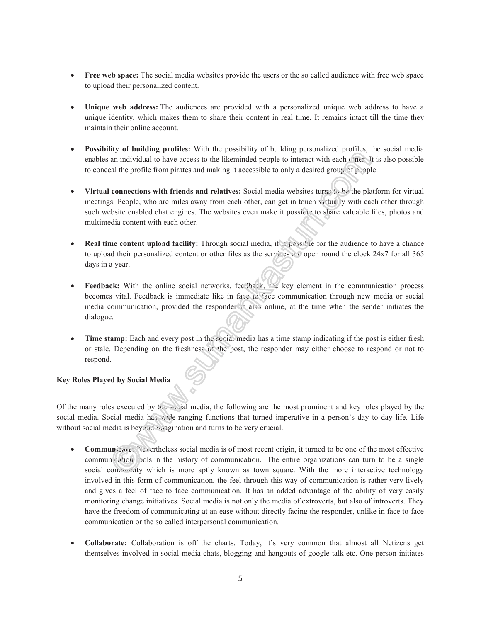- **Free web space:** The social media websites provide the users or the so called audience with free web space to upload their personalized content.
- **Unique web address:** The audiences are provided with a personalized unique web address to have a unique identity, which makes them to share their content in real time. It remains intact till the time they maintain their online account.
- **Possibility of building profiles:** With the possibility of building personalized profiles, the social media enables an individual to have access to the likeminded people to interact with each other. It is also possible to conceal the profile from pirates and making it accessible to only a desired group. of  $p \in p$  ople.
- **Virtual connections with friends and relatives:** Social media websites turns to be the platform for virtual meetings. People, who are miles away from each other, can get in touch virtually with each other through such website enabled chat engines. The websites even make it possible to share valuable files, photos and multimedia content with each other.
- **Real time content upload facility:** Through social media, it is possible for the audience to have a chance to upload their personalized content or other files as the services are open round the clock 24x7 for all 365 days in a year.
- **Feedback:** With the online social networks, feedback, the key element in the communication process becomes vital. Feedback is immediate like in face to face communication through new media or social media communication, provided the responder is also online, at the time when the sender initiates the dialogue.
- **Time stamp:** Each and every post in the social media has a time stamp indicating if the post is either fresh or stale. Depending on the freshness of the post, the responder may either choose to respond or not to respond.

### **Key Roles Played by Social Media**

Of the many roles executed by the social media, the following are the most prominent and key roles played by the social media. Social media has wide-ranging functions that turned imperative in a person's day to day life. Life without social media is beyond imagination and turns to be very crucial.

- **Communicate:** Nevertheless social media is of most recent origin, it turned to be one of the most effective communication cols in the history of communication. The entire organizations can turn to be a single social community which is more aptly known as town square. With the more interactive technology involved in this form of communication, the feel through this way of communication is rather very lively and gives a feel of face to face communication. It has an added advantage of the ability of very easily monitoring change initiatives. Social media is not only the media of extroverts, but also of introverts. They have the freedom of communicating at an ease without directly facing the responder, unlike in face to face communication or the so called interpersonal communication.
- **Collaborate:** Collaboration is off the charts. Today, it's very common that almost all Netizens get themselves involved in social media chats, blogging and hangouts of google talk etc. One person initiates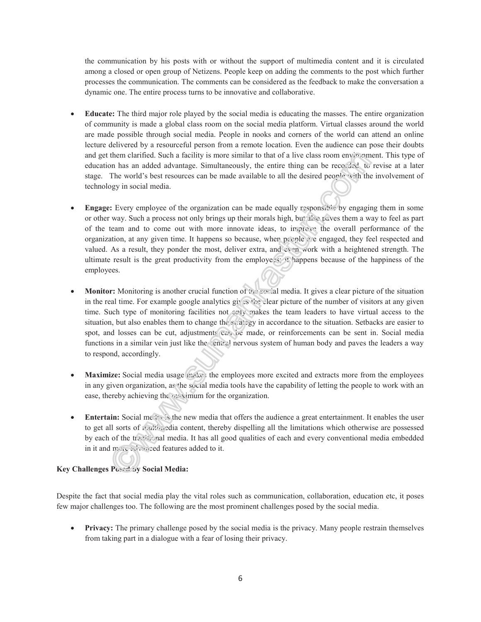the communication by his posts with or without the support of multimedia content and it is circulated among a closed or open group of Netizens. People keep on adding the comments to the post which further processes the communication. The comments can be considered as the feedback to make the conversation a dynamic one. The entire process turns to be innovative and collaborative.

- **Educate:** The third major role played by the social media is educating the masses. The entire organization of community is made a global class room on the social media platform. Virtual classes around the world are made possible through social media. People in nooks and corners of the world can attend an online lecture delivered by a resourceful person from a remote location. Even the audience can pose their doubts and get them clarified. Such a facility is more similar to that of a live class room environment. This type of education has an added advantage. Simultaneously, the entire thing can be recorded, to revise at a later stage. The world's best resources can be made available to all the desired people with the involvement of technology in social media.
- **Engage:** Every employee of the organization can be made equally responsible by engaging them in some or other way. Such a process not only brings up their morals high, but also paves them a way to feel as part of the team and to come out with more innovate ideas, to improve the overall performance of the organization, at any given time. It happens so because, when people are engaged, they feel respected and valued. As a result, they ponder the most, deliver extra, and even work with a heightened strength. The ultimate result is the great productivity from the employees; it happens because of the happiness of the employees.
- **Monitor:** Monitoring is another crucial function of the social media. It gives a clear picture of the situation in the real time. For example google analytics gives the clear picture of the number of visitors at any given time. Such type of monitoring facilities not only makes the team leaders to have virtual access to the situation, but also enables them to change the strategy in accordance to the situation. Setbacks are easier to spot, and losses can be cut, adjustments can be made, or reinforcements can be sent in. Social media functions in a similar vein just like the central nervous system of human body and paves the leaders a way to respond, accordingly.
- **Maximize:** Social media usage makes the employees more excited and extracts more from the employees in any given organization, as the social media tools have the capability of letting the people to work with an ease, thereby achieving the maximum for the organization.
- **Entertain:** Social media is the new media that offers the audience a great entertainment. It enables the user to get all sorts of multimedia content, thereby dispelling all the limitations which otherwise are possessed by each of the traditional media. It has all good qualities of each and every conventional media embedded in it and more advanced features added to it.

### **Key Challenges Posed by Social Media:**

Despite the fact that social media play the vital roles such as communication, collaboration, education etc, it poses few major challenges too. The following are the most prominent challenges posed by the social media.

• **Privacy:** The primary challenge posed by the social media is the privacy. Many people restrain themselves from taking part in a dialogue with a fear of losing their privacy.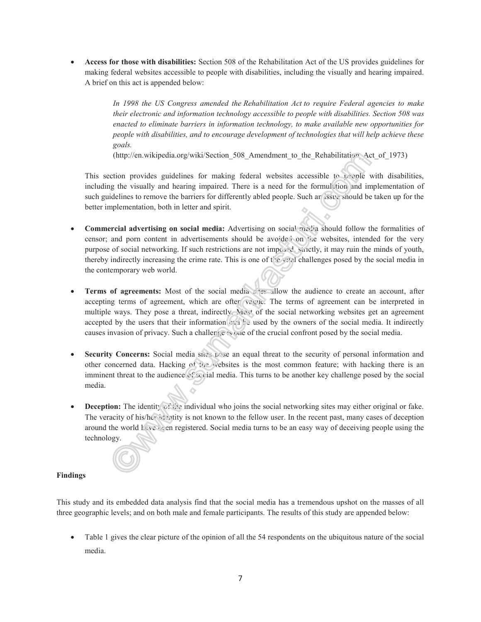• **Access for those with disabilities:** Section 508 of the Rehabilitation Act of the US provides guidelines for making federal websites accessible to people with disabilities, including the visually and hearing impaired. A brief on this act is appended below:

> *In 1998 the US Congress amended the Rehabilitation Act to require Federal agencies to make their electronic and information technology accessible to people with disabilities. Section 508 was enacted to eliminate barriers in information technology, to make available new opportunities for people with disabilities, and to encourage development of technologies that will help achieve these goals.*

(http://en.wikipedia.org/wiki/Section 508 Amendment to the Rehabilitation Act of 1973)

This section provides guidelines for making federal websites accessible to people with disabilities, including the visually and hearing impaired. There is a need for the formulation and implementation of such guidelines to remove the barriers for differently abled people. Such an issue should be taken up for the better implementation, both in letter and spirit.

- **Commercial advertising on social media:** Advertising on social media should follow the formalities of censor; and porn content in advertisements should be avoided on the websites, intended for the very purpose of social networking. If such restrictions are not imposed, strictly, it may ruin the minds of youth, thereby indirectly increasing the crime rate. This is one of the vital challenges posed by the social media in the contemporary web world.
- **Terms of agreements:** Most of the social media sites allow the audience to create an account, after accepting terms of agreement, which are often vague. The terms of agreement can be interpreted in multiple ways. They pose a threat, indirectly. Most of the social networking websites get an agreement accepted by the users that their information  $\mathcal{L}(1)$  used by the owners of the social media. It indirectly causes invasion of privacy. Such a challenge is one of the crucial confront posed by the social media.
- **Security Concerns:** Social media sites pose an equal threat to the security of personal information and other concerned data. Hacking of the websites is the most common feature; with hacking there is an imminent threat to the audience of social media. This turns to be another key challenge posed by the social media.
- **Deception:** The identity of the individual who joins the social networking sites may either original or fake. The veracity of his/her identity is not known to the fellow user. In the recent past, many cases of deception around the world  $h_{\lambda}$  been registered. Social media turns to be an easy way of deceiving people using the technology.

### **Findings**

This study and its embedded data analysis find that the social media has a tremendous upshot on the masses of all three geographic levels; and on both male and female participants. The results of this study are appended below:

• Table 1 gives the clear picture of the opinion of all the 54 respondents on the ubiquitous nature of the social media.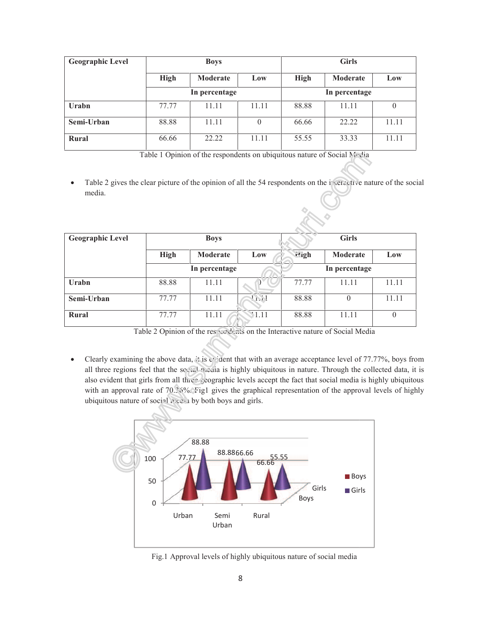| <b>Geographic Level</b> | <b>Boys</b> |               |       | <b>Girls</b>  |                 |       |  |
|-------------------------|-------------|---------------|-------|---------------|-----------------|-------|--|
|                         | <b>High</b> | Moderate      | Low   | <b>High</b>   | <b>Moderate</b> | Low   |  |
|                         |             | In percentage |       | In percentage |                 |       |  |
| Urabn                   | 77.77       | 11.11         | 11.11 | 88.88         | 11.11           | 0     |  |
| Semi-Urban              | 88.88       | 11.11         | 0     | 66.66         | 22.22           | 11.11 |  |
| Rural                   | 66.66       | 22.22         | 11.11 | 55.55         | 33.33           | 11.11 |  |

Table 1 Opinion of the respondents on ubiquitous nature of Social Media

• Table 2 gives the clear picture of the opinion of all the 54 respondents on the interactive nature of the social media.

| <b>Geographic Level</b> | <b>Boys</b>   |          |            | <b>Girls</b>  |          |          |
|-------------------------|---------------|----------|------------|---------------|----------|----------|
|                         | <b>High</b>   | Moderate | Low        | $H$ igh       | Moderate | Low      |
|                         | In percentage |          |            | In percentage |          |          |
| Urabn                   | 88.88         | 11.11    |            | 77.77         | 11.11    | 11.11    |
| Semi-Urban              | 77.77         | 11.11    | <b>TAM</b> | 88.88         | $\theta$ | 11.11    |
| Rural                   | 77.77         | 11.11    | V1.11      | 88.88         | 11.11    | $\theta$ |

Table 2 Opinion of the respondents on the Interactive nature of Social Media

Table 2 Opinion of the respectents on the Interactive nature of Social Media<br>• Clearly examining the above data, it is evident that with an average acceptance level of 77.77%, boys from all three regions feel that the social media is highly ubiquitous in nature. Through the collected data, it is also evident that girls from all three geographic levels accept the fact that social media is highly ubiquitous also evident that girls from all three geographic levels accept the fact that social media is highly ubiquitous<br>with an approval rate of 70.36%. Fig1 gives the graphical representation of the approval levels of highly ubiquitous nature of social media by both boys and girls.



Fig.1 Approval levels of highly ubiquitous nature of social media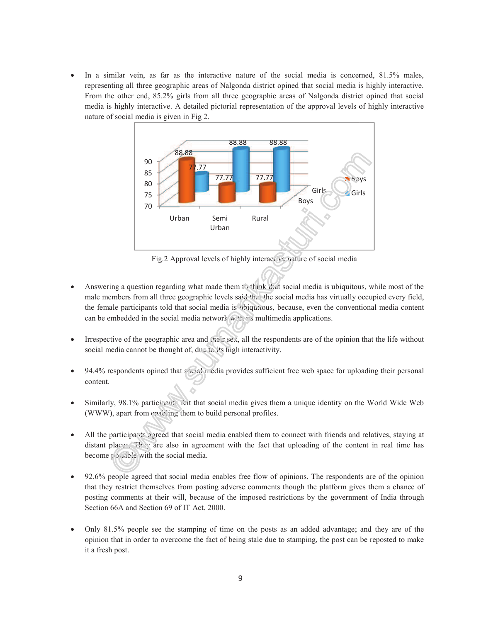• In a similar vein, as far as the interactive nature of the social media is concerned, 81.5% males, representing all three geographic areas of Nalgonda district opined that social media is highly interactive. From the other end, 85.2% girls from all three geographic areas of Nalgonda district opined that social media is highly interactive. A detailed pictorial representation of the approval levels of highly interactive nature of social media is given in Fig 2. nature of social media is given in as far as the interactive nature of the social media is concerned, 81.5% males,<br>e geographic areas of Nalgonda district opined that social media is highly interactive.<br>, 85.2% girls from all three geographic areas of Nalgo



Fig.2 Approval levels of highly interactive nature of social media

- Answering a question regarding what made them to think that social media is ubiquitous, while most of the Answering a question regarding what made them to think that social media is ubiquitous, while most of the male members from all three geographic levels said that the social media has virtually occupied every field, the female participants told that social media is ubiquitous, because, even the conventional media can be embedded in the social media network  $w/t$  its multimedia applications.
- $\bullet$  Irrespective of the geographic area and  $\circ$  sex, all the respondents are of the opinion that the life without social media cannot be thought of, due to its high interactivity. • Irrespective of the geographic area and (facts sex, all the respondents are of the opinion that the life without social media cannot be thought of, due to its high interactivity.<br>• 94.4% respondents opined that social me
- content.
- Similarly, 98.1% participants felt that social media gives them a unique identity on the World Wide Web (WWW), apart from enabling them to build personal profiles. • Similarly, 98.1% participants felt that social media gives them a unique identity on the World Wide Web (WWW), apart from enabling them to build personal profiles.<br>• All the participants agreed that social media enabled we respondents opined that social media provides sufficient free web space for upload<br>tent.<br>ilarly, 98.1% participants field that social media gives them a unique identity on the<br>WW), apart from enabling them to build pers
- distant places. They are also in agreement with the fact that uploading of the content in real time has become  $p/sib'$  with the social media.
- 92.6% people agreed that social media enables free flow of opinions. The respondents are of the opinion that they restrict themselves from posting adverse comments though the platform gives them a chance of 92.6% people agreed that social media enables free flow of opinions. The respondents are of the opinion that they restrict themselves from posting adverse comments though the platform gives them a chance of posting comment Section 66A and Section 69 of IT Act, 2000.
- Only 81.5% people see the stamping of time on the posts as an added advantage; and they are of the opinion that in order to overcome the fact of being stale due to stamping, the post can be reposted to make it a fresh post.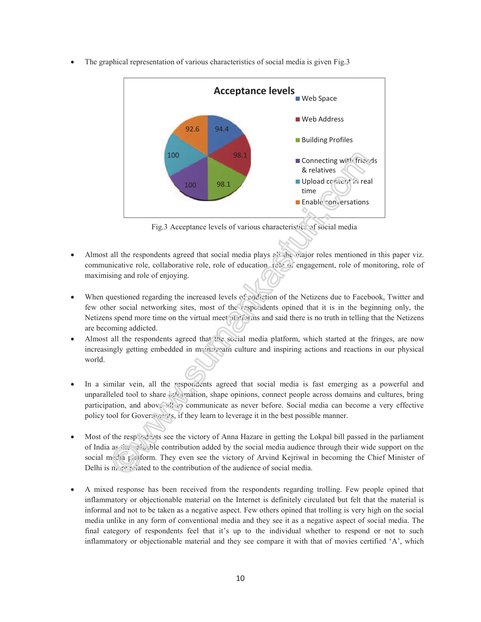- 100 94.4 98.1 100 98.1 92.6 **Acceptance levels Web Space** Web Address **Building Profiles**  $\blacksquare$  Connecting with friends & relatives Upload content in real time  $\blacksquare$  Enable conversations
- The graphical representation of various characteristics of social media is given Fig.3

Fig.3 Acceptance levels of various characteristics of social media

- Fig.3 Acceptance levels of various characteristics of social media<br>• Almost all the respondents agreed that social media plays  $\frac{e}{i!}$  the major roles mentioned in this paper viz. communicative role, collaborative role, role of education, rele of engagement, role of monitoring, role of maximising and role of enjoying. • When questioned regarding the increased levels of addiction of the Netizens due to Facebook, Twitter and<br>• When questioned regarding the increased levels of addiction of the Netizens due to Facebook, Twitter and
- few other social networking sites, most of the respondents opined that it is in the beginning only, the Netizens spend more time on the virtual meet platforms and said there is no truth in telling that the N are becoming addicted. etizens due to Facebook, Twitter and<br>that it is in the beginning only, the<br>is no truth in telling that the Netizens
- are becoming addicted.<br>• Almost all the respondents agreed that the social media platform, which started at the fringes, are now increasingly getting embedded in mainstream culture and inspiring actions and reactions in our physical world.
- In a similar vein, all the respondents agreed that social media is fast emerging as a powerful and In a similar vein, all the respondents agreed that social media is fast emerging as a powerful and unparalleled tool to share we wantion, shape opinions, connect people across domains and cultures, bring participation, and above all to communicate as never before. Social media can become a very effective policy tool for Governments, if they learn to leverage it in the best possible manner. participation, and above sit to communicate as never before. Social media can become a very effective<br>policy tool for Governments, if they learn to leverage it in the best possible manner.<br>Most of the respondents see the v olatform, which started at the fringes, are now<br>inspiring actions and reactions in our physical<br>1 media is fast emerging as a powerful and<br>nect people across domains and cultures, bring<br>pre. Social media can become a very
- of India as the valuable contribution added by the social media audience through their wide support on the social media platform. They even see the victory of Arvind Kejriwal in becoming the Chief Minist Delhi is more related to the contribution of the audience of social media.
- A mixed response has been received from the respondents regarding trolling. Few people opined that that inflammatory or objectionable material on the Internet is definitely circulated but felt that the material is informal and not to be taken as a negative aspect. Few others opined that trolling is very high on the social informal and not to be taken as a negative aspect. Few others opined that trolling is very high on the social<br>media unlike in any form of conventional media and they see it as a negative aspect of social media. The informal and not to be taken as a negative aspect. Few others opined that trolling is very high on the social<br>media unlike in any form of conventional media and they see it as a negative aspect of social media. The<br>final c inflammatory or objectionable material and they see compare it with that of movies certified 'A', which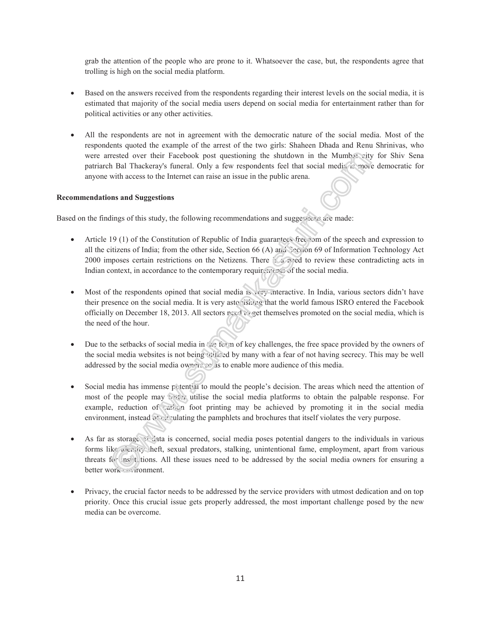grab the attention of the people who are prone to it. Whatsoever the case, but, the respondents agree that trolling is high on the social media platform.

- Based on the answers received from the respondents regarding their interest levels on the social media, it is estimated that majority of the social media users depend on social media for entertainment rather than for political activities or any other activities.
- All the respondents are not in agreement with the democratic nature of the social media. Most of the respondents quoted the example of the arrest of the two girls: Shaheen Dhada and Renu Shrinivas, who were arrested over their Facebook post questioning the shutdown in the Mumba: city for Shiv Sena patriarch Bal Thackeray's funeral. Only a few respondents feel that social media is more democratic for anyone with access to the Internet can raise an issue in the public arena.

### **Recommendations and Suggestions**

Based on the findings of this study, the following recommendations and suggestions are made:

- Article 19 (1) of the Constitution of Republic of India guarantees freedom of the speech and expression to all the citizens of India; from the other side, Section 66 (A) and Section 69 of Information Technology Act 2000 imposes certain restrictions on the Netizens. There is a need to review these contradicting acts in Indian context, in accordance to the contemporary requirements of the social media.
- Most of the respondents opined that social media is very interactive. In India, various sectors didn't have their presence on the social media. It is very astonishing that the world famous ISRO entered the Facebook officially on December 18, 2013. All sectors need to get themselves promoted on the social media, which is the need of the hour.
- Due to the setbacks of social media in the form of key challenges, the free space provided by the owners of the social media websites is not being utilised by many with a fear of not having secrecy. This may be well addressed by the social media owners so as to enable more audience of this media.
- Social media has immense potential to mould the people's decision. The areas which need the attention of most of the people may better utilise the social media platforms to obtain the palpable response. For example, reduction of carbon foot printing may be achieved by promoting it in the social media environment, instead  $\delta_{\rm c}$  circulating the pamphlets and brochures that itself violates the very purpose.
- As far as storage of data is concerned, social media poses potential dangers to the individuals in various forms like receivity theft, sexual predators, stalking, unintentional fame, employment, apart from various threats for institutions. All these issues need to be addressed by the social media owners for ensuring a better work = vironment.
- Privacy, the crucial factor needs to be addressed by the service providers with utmost dedication and on top priority. Once this crucial issue gets properly addressed, the most important challenge posed by the new media can be overcome.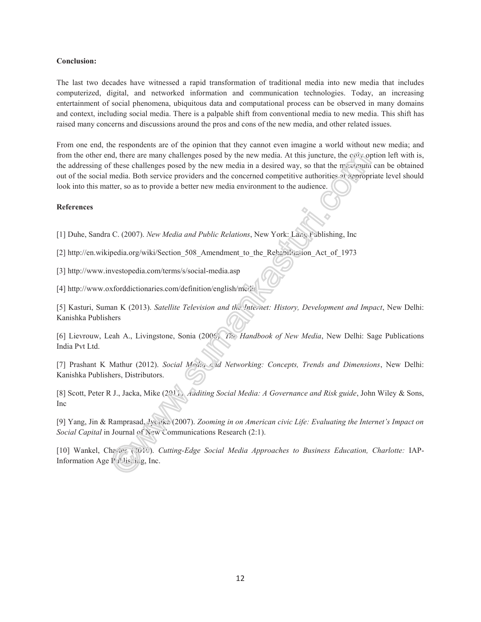### **Conclusion:**

The last two decades have witnessed a rapid transformation of traditional media into new media that includes computerized, digital, and networked information and communication technologies. Today, an increasing entertainment of social phenomena, ubiquitous data and computational process can be observed in many domains and context, including social media. There is a palpable shift from conventional media to new media. This shift has raised many concerns and discussions around the pros and cons of the new media, and other related issues.

From one end, the respondents are of the opinion that they cannot even imagine a world without new media; and from the other end, there are many challenges posed by the new media. At this juncture, the colly option left with is, the addressing of these challenges posed by the new media in a desired way, so that the maximum can be obtained out of the social media. Both service providers and the concerned competitive authorities at appropriate level should look into this matter, so as to provide a better new media environment to the audience.

### **References**

[1] Duhe, Sandra C. (2007). *New Media and Public Relations*, New York: Lang Publishing, Inc

[2] http://en.wikipedia.org/wiki/Section 508 Amendment to the Rehabilitation Act of 1973

[3] http://www.investopedia.com/terms/s/social-media.asp

[4] http://www.oxforddictionaries.com/definition/english/media

[5] Kasturi, Suman K (2013). *Satellite Television and the Internet: History, Development and Impact*, New Delhi: Kanishka Publishers

[6] Lievrouw, Leah A., Livingstone, Sonia (2006). *The Handbook of New Media*, New Delhi: Sage Publications India Pvt Ltd.

[7] Prashant K Mathur (2012). *Social Media and Networking: Concepts, Trends and Dimensions*, New Delhi: Kanishka Publishers, Distributors.

[8] Scott, Peter R J., Jacka, Mike (2011). *Auditing Social Media: A Governance and Risk guide*, John Wiley & Sons, Inc

[9] Yang, Jin & Ramprasad, Jyotika (2007). *Zooming in on American civic Life: Evaluating the Internet's Impact on Social Capital* in Journal of New Communications Research (2:1).

[10] Wankel, Charles (2010). *Cutting-Edge Social Media Approaches to Business Education, Charlotte:* IAP-Information Age Publishing, Inc.